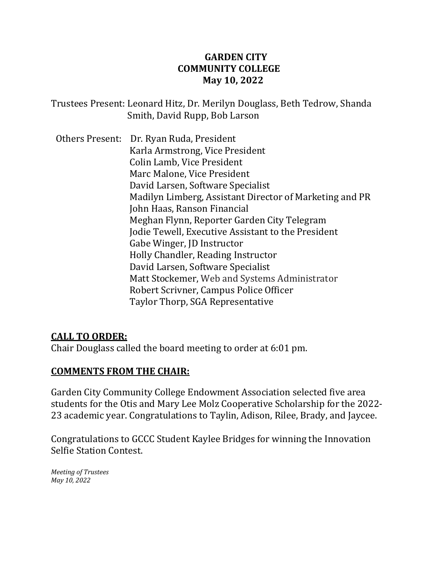## **GARDEN CITY COMMUNITY COLLEGE May 10, 2022**

Trustees Present: Leonard Hitz, Dr. Merilyn Douglass, Beth Tedrow, Shanda Smith, David Rupp, Bob Larson

Others Present: Dr. Ryan Ruda, President Karla Armstrong, Vice President Colin Lamb, Vice President Marc Malone, Vice President David Larsen, Software Specialist Madilyn Limberg, Assistant Director of Marketing and PR John Haas, Ranson Financial Meghan Flynn, Reporter Garden City Telegram Jodie Tewell, Executive Assistant to the President Gabe Winger, JD Instructor Holly Chandler, Reading Instructor David Larsen, Software Specialist Matt Stockemer, Web and Systems Administrator Robert Scrivner, Campus Police Officer Taylor Thorp, SGA Representative

#### **CALL TO ORDER:**

Chair Douglass called the board meeting to order at 6:01 pm.

## **COMMENTS FROM THE CHAIR:**

Garden City Community College Endowment Association selected five area students for the Otis and Mary Lee Molz Cooperative Scholarship for the 2022- 23 academic year. Congratulations to Taylin, Adison, Rilee, Brady, and Jaycee.

Congratulations to GCCC Student Kaylee Bridges for winning the Innovation Selfie Station Contest.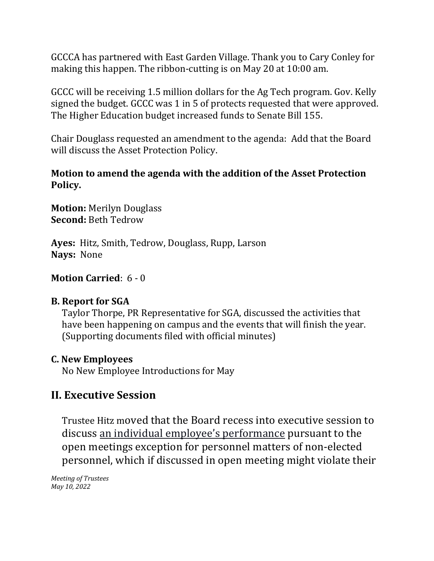GCCCA has partnered with East Garden Village. Thank you to Cary Conley for making this happen. The ribbon-cutting is on May 20 at 10:00 am.

GCCC will be receiving 1.5 million dollars for the Ag Tech program. Gov. Kelly signed the budget. GCCC was 1 in 5 of protects requested that were approved. The Higher Education budget increased funds to Senate Bill 155.

Chair Douglass requested an amendment to the agenda: Add that the Board will discuss the Asset Protection Policy.

#### **Motion to amend the agenda with the addition of the Asset Protection Policy.**

**Motion:** Merilyn Douglass **Second:** Beth Tedrow

**Ayes:** Hitz, Smith, Tedrow, Douglass, Rupp, Larson **Nays:** None

# **Motion Carried**: 6 - 0

## **B. Report for SGA**

Taylor Thorpe, PR Representative for SGA, discussed the activities that have been happening on campus and the events that will finish the year. (Supporting documents filed with official minutes)

## **C. New Employees**

No New Employee Introductions for May

# **II. Executive Session**

Trustee Hitz moved that the Board recess into executive session to discuss an individual employee's performance pursuant to the open meetings exception for personnel matters of non-elected personnel, which if discussed in open meeting might violate their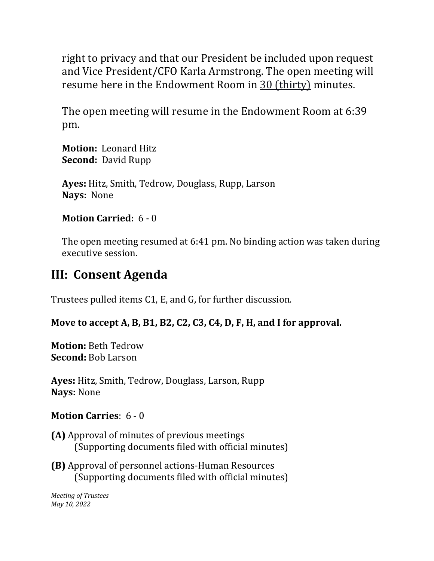right to privacy and that our President be included upon request and Vice President/CFO Karla Armstrong. The open meeting will resume here in the Endowment Room in 30 (thirty) minutes.

The open meeting will resume in the Endowment Room at 6:39 pm.

**Motion:** Leonard Hitz **Second:** David Rupp

**Ayes:** Hitz, Smith, Tedrow, Douglass, Rupp, Larson **Nays:** None

# **Motion Carried:** 6 - 0

The open meeting resumed at 6:41 pm. No binding action was taken during executive session.

# **III: Consent Agenda**

Trustees pulled items C1, E, and G, for further discussion.

# **Move to accept A, B, B1, B2, C2, C3, C4, D, F, H, and I for approval.**

**Motion:** Beth Tedrow **Second:** Bob Larson

**Ayes:** Hitz, Smith, Tedrow, Douglass, Larson, Rupp **Nays:** None

# **Motion Carries**: 6 - 0

- **(A)** Approval of minutes of previous meetings (Supporting documents filed with official minutes)
- **(B)** Approval of personnel actions-Human Resources (Supporting documents filed with official minutes)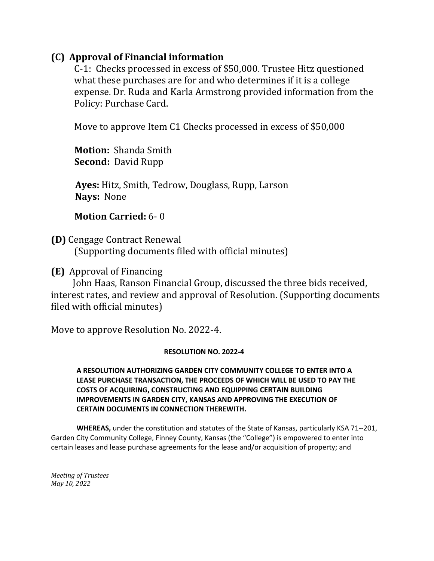## **(C) Approval of Financial information**

C-1: Checks processed in excess of \$50,000. Trustee Hitz questioned what these purchases are for and who determines if it is a college expense. Dr. Ruda and Karla Armstrong provided information from the Policy: Purchase Card.

Move to approve Item C1 Checks processed in excess of \$50,000

**Motion:** Shanda Smith **Second:** David Rupp

 **Ayes:** Hitz, Smith, Tedrow, Douglass, Rupp, Larson  **Nays:** None

#### **Motion Carried:** 6- 0

**(D)** Cengage Contract Renewal (Supporting documents filed with official minutes)

**(E)** Approval of Financing

 John Haas, Ranson Financial Group, discussed the three bids received, interest rates, and review and approval of Resolution. (Supporting documents filed with official minutes)

Move to approve Resolution No. 2022-4.

#### **RESOLUTION NO. 2022-4**

**A RESOLUTION AUTHORIZING GARDEN CITY COMMUNITY COLLEGE TO ENTER INTO A LEASE PURCHASE TRANSACTION, THE PROCEEDS OF WHICH WILL BE USED TO PAY THE COSTS OF ACQUIRING, CONSTRUCTING AND EQUIPPING CERTAIN BUILDING IMPROVEMENTS IN GARDEN CITY, KANSAS AND APPROVING THE EXECUTION OF CERTAIN DOCUMENTS IN CONNECTION THEREWITH.**

**WHEREAS,** under the constitution and statutes of the State of Kansas, particularly KSA 71--201, Garden City Community College, Finney County, Kansas (the "College") is empowered to enter into certain leases and lease purchase agreements for the lease and/or acquisition of property; and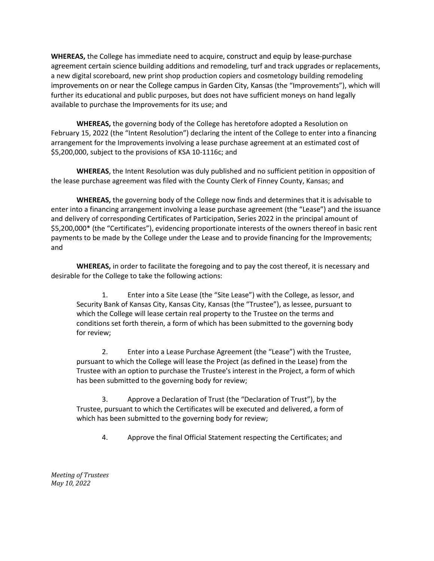**WHEREAS,** the College has immediate need to acquire, construct and equip by lease-purchase agreement certain science building additions and remodeling, turf and track upgrades or replacements, a new digital scoreboard, new print shop production copiers and cosmetology building remodeling improvements on or near the College campus in Garden City, Kansas (the "Improvements"), which will further its educational and public purposes, but does not have sufficient moneys on hand legally available to purchase the Improvements for its use; and

**WHEREAS,** the governing body of the College has heretofore adopted a Resolution on February 15, 2022 (the "Intent Resolution") declaring the intent of the College to enter into a financing arrangement for the Improvements involving a lease purchase agreement at an estimated cost of \$5,200,000, subject to the provisions of KSA 10-1116c; and

**WHEREAS**, the Intent Resolution was duly published and no sufficient petition in opposition of the lease purchase agreement was filed with the County Clerk of Finney County, Kansas; and

**WHEREAS,** the governing body of the College now finds and determines that it is advisable to enter into a financing arrangement involving a lease purchase agreement (the "Lease") and the issuance and delivery of corresponding Certificates of Participation, Series 2022 in the principal amount of \$5,200,000\* (the "Certificates"), evidencing proportionate interests of the owners thereof in basic rent payments to be made by the College under the Lease and to provide financing for the Improvements; and

**WHEREAS,** in order to facilitate the foregoing and to pay the cost thereof, it is necessary and desirable for the College to take the following actions:

1. Enter into a Site Lease (the "Site Lease") with the College, as lessor, and Security Bank of Kansas City, Kansas City, Kansas (the "Trustee"), as lessee, pursuant to which the College will lease certain real property to the Trustee on the terms and conditions set forth therein, a form of which has been submitted to the governing body for review;

2. Enter into a Lease Purchase Agreement (the "Lease") with the Trustee, pursuant to which the College will lease the Project (as defined in the Lease) from the Trustee with an option to purchase the Trustee's interest in the Project, a form of which has been submitted to the governing body for review;

3. Approve a Declaration of Trust (the "Declaration of Trust"), by the Trustee, pursuant to which the Certificates will be executed and delivered, a form of which has been submitted to the governing body for review;

4. Approve the final Official Statement respecting the Certificates; and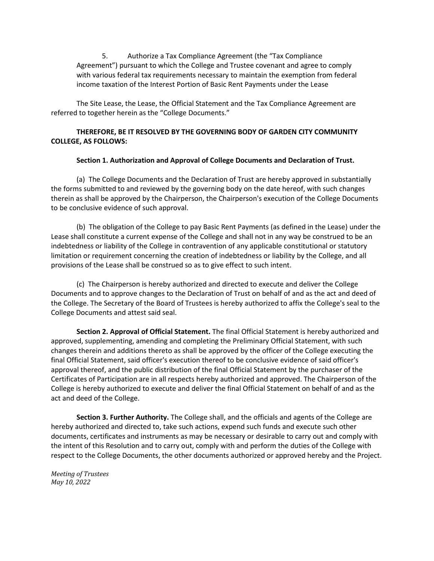5. Authorize a Tax Compliance Agreement (the "Tax Compliance Agreement") pursuant to which the College and Trustee covenant and agree to comply with various federal tax requirements necessary to maintain the exemption from federal income taxation of the Interest Portion of Basic Rent Payments under the Lease

The Site Lease, the Lease, the Official Statement and the Tax Compliance Agreement are referred to together herein as the "College Documents."

#### **THEREFORE, BE IT RESOLVED BY THE GOVERNING BODY OF GARDEN CITY COMMUNITY COLLEGE, AS FOLLOWS:**

#### **Section 1. Authorization and Approval of College Documents and Declaration of Trust.**

(a) The College Documents and the Declaration of Trust are hereby approved in substantially the forms submitted to and reviewed by the governing body on the date hereof, with such changes therein as shall be approved by the Chairperson, the Chairperson's execution of the College Documents to be conclusive evidence of such approval.

(b) The obligation of the College to pay Basic Rent Payments (as defined in the Lease) under the Lease shall constitute a current expense of the College and shall not in any way be construed to be an indebtedness or liability of the College in contravention of any applicable constitutional or statutory limitation or requirement concerning the creation of indebtedness or liability by the College, and all provisions of the Lease shall be construed so as to give effect to such intent.

(c) The Chairperson is hereby authorized and directed to execute and deliver the College Documents and to approve changes to the Declaration of Trust on behalf of and as the act and deed of the College. The Secretary of the Board of Trustees is hereby authorized to affix the College's seal to the College Documents and attest said seal.

**Section 2. Approval of Official Statement.** The final Official Statement is hereby authorized and approved, supplementing, amending and completing the Preliminary Official Statement, with such changes therein and additions thereto as shall be approved by the officer of the College executing the final Official Statement, said officer's execution thereof to be conclusive evidence of said officer's approval thereof, and the public distribution of the final Official Statement by the purchaser of the Certificates of Participation are in all respects hereby authorized and approved. The Chairperson of the College is hereby authorized to execute and deliver the final Official Statement on behalf of and as the act and deed of the College.

**Section 3. Further Authority.** The College shall, and the officials and agents of the College are hereby authorized and directed to, take such actions, expend such funds and execute such other documents, certificates and instruments as may be necessary or desirable to carry out and comply with the intent of this Resolution and to carry out, comply with and perform the duties of the College with respect to the College Documents, the other documents authorized or approved hereby and the Project.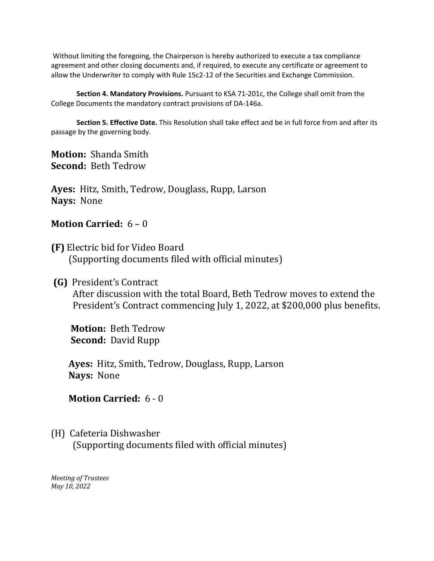Without limiting the foregoing, the Chairperson is hereby authorized to execute a tax compliance agreement and other closing documents and, if required, to execute any certificate or agreement to allow the Underwriter to comply with Rule 15c2-12 of the Securities and Exchange Commission.

**Section 4. Mandatory Provisions.** Pursuant to KSA 71-201c, the College shall omit from the College Documents the mandatory contract provisions of DA-146a.

**Section 5. Effective Date.** This Resolution shall take effect and be in full force from and after its passage by the governing body.

**Motion:** Shanda Smith **Second:** Beth Tedrow

**Ayes:** Hitz, Smith, Tedrow, Douglass, Rupp, Larson **Nays:** None

#### **Motion Carried:** 6 – 0

**(F)** Electric bid for Video Board (Supporting documents filed with official minutes)

## **(G)** President's Contract

After discussion with the total Board, Beth Tedrow moves to extend the President's Contract commencing July 1, 2022, at \$200,000 plus benefits.

 **Motion:** Beth Tedrow  **Second:** David Rupp

 **Ayes:** Hitz, Smith, Tedrow, Douglass, Rupp, Larson  **Nays:** None

## **Motion Carried:** 6 - 0

## (H) Cafeteria Dishwasher

(Supporting documents filed with official minutes)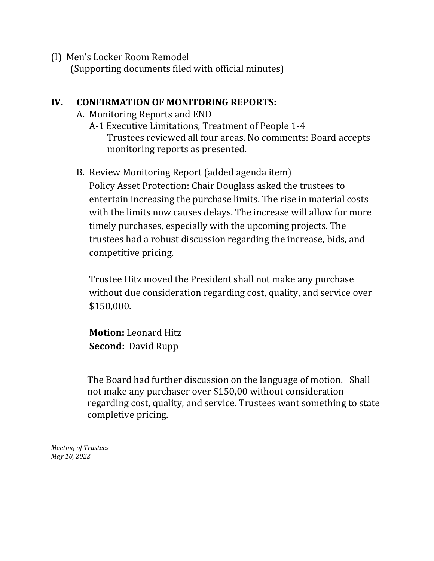(I) Men's Locker Room Remodel (Supporting documents filed with official minutes)

# **IV. CONFIRMATION OF MONITORING REPORTS:**

- A. Monitoring Reports and END
	- A-1 Executive Limitations, Treatment of People 1-4 Trustees reviewed all four areas. No comments: Board accepts monitoring reports as presented.
- B. Review Monitoring Report (added agenda item) Policy Asset Protection: Chair Douglass asked the trustees to entertain increasing the purchase limits. The rise in material costs with the limits now causes delays. The increase will allow for more timely purchases, especially with the upcoming projects. The trustees had a robust discussion regarding the increase, bids, and

Trustee Hitz moved the President shall not make any purchase without due consideration regarding cost, quality, and service over \$150,000.

**Motion:** Leonard Hitz **Second:** David Rupp

competitive pricing.

The Board had further discussion on the language of motion. Shall not make any purchaser over \$150,00 without consideration regarding cost, quality, and service. Trustees want something to state completive pricing.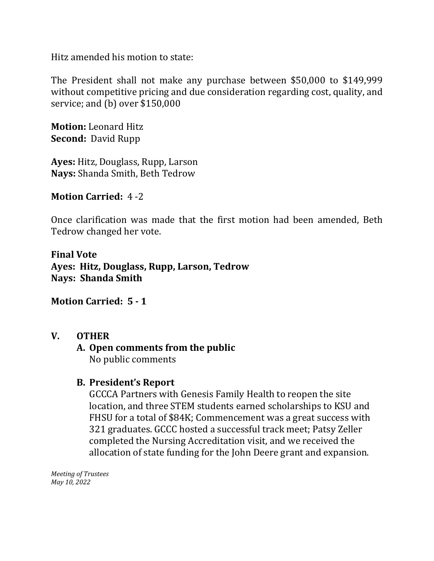Hitz amended his motion to state:

The President shall not make any purchase between \$50,000 to \$149,999 without competitive pricing and due consideration regarding cost, quality, and service; and (b) over \$150,000

**Motion:** Leonard Hitz **Second:** David Rupp

**Ayes:** Hitz, Douglass, Rupp, Larson **Nays:** Shanda Smith, Beth Tedrow

## **Motion Carried:** 4 -2

Once clarification was made that the first motion had been amended, Beth Tedrow changed her vote.

**Final Vote Ayes: Hitz, Douglass, Rupp, Larson, Tedrow Nays: Shanda Smith**

#### **Motion Carried: 5 - 1**

#### **V. OTHER**

## **A. Open comments from the public**  No public comments

#### **B. President's Report**

GCCCA Partners with Genesis Family Health to reopen the site location, and three STEM students earned scholarships to KSU and FHSU for a total of \$84K; Commencement was a great success with 321 graduates. GCCC hosted a successful track meet; Patsy Zeller completed the Nursing Accreditation visit, and we received the allocation of state funding for the John Deere grant and expansion.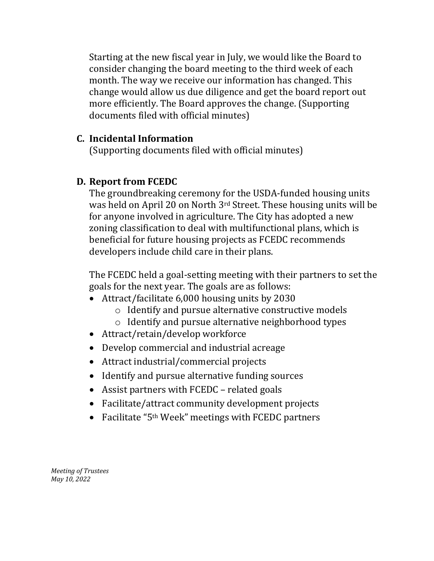Starting at the new fiscal year in July, we would like the Board to consider changing the board meeting to the third week of each month. The way we receive our information has changed. This change would allow us due diligence and get the board report out more efficiently. The Board approves the change. (Supporting documents filed with official minutes)

#### **C. Incidental Information**

(Supporting documents filed with official minutes)

## **D. Report from FCEDC**

The groundbreaking ceremony for the USDA-funded housing units was held on April 20 on North 3rd Street. These housing units will be for anyone involved in agriculture. The City has adopted a new zoning classification to deal with multifunctional plans, which is beneficial for future housing projects as FCEDC recommends developers include child care in their plans.

The FCEDC held a goal-setting meeting with their partners to set the goals for the next year. The goals are as follows:

- Attract/facilitate 6,000 housing units by 2030
	- o Identify and pursue alternative constructive models
	- o Identify and pursue alternative neighborhood types
- Attract/retain/develop workforce
- Develop commercial and industrial acreage
- Attract industrial/commercial projects
- Identify and pursue alternative funding sources
- Assist partners with FCEDC related goals
- Facilitate/attract community development projects
- Facilitate "5<sup>th</sup> Week" meetings with FCEDC partners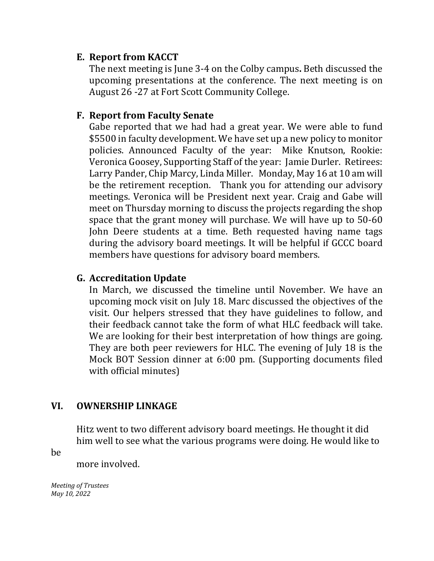# **E. Report from KACCT**

The next meeting is June 3-4 on the Colby campus**.** Beth discussed the upcoming presentations at the conference. The next meeting is on August 26 -27 at Fort Scott Community College.

## **F. Report from Faculty Senate**

Gabe reported that we had had a great year. We were able to fund \$5500 in faculty development. We have set up a new policy to monitor policies. Announced Faculty of the year: Mike Knutson, Rookie: Veronica Goosey, Supporting Staff of the year: Jamie Durler. Retirees: Larry Pander, Chip Marcy, Linda Miller. Monday, May 16 at 10 am will be the retirement reception. Thank you for attending our advisory meetings. Veronica will be President next year. Craig and Gabe will meet on Thursday morning to discuss the projects regarding the shop space that the grant money will purchase. We will have up to 50-60 John Deere students at a time. Beth requested having name tags during the advisory board meetings. It will be helpful if GCCC board members have questions for advisory board members.

# **G. Accreditation Update**

In March, we discussed the timeline until November. We have an upcoming mock visit on July 18. Marc discussed the objectives of the visit. Our helpers stressed that they have guidelines to follow, and their feedback cannot take the form of what HLC feedback will take. We are looking for their best interpretation of how things are going. They are both peer reviewers for HLC. The evening of July 18 is the Mock BOT Session dinner at 6:00 pm. (Supporting documents filed with official minutes)

# **VI. OWNERSHIP LINKAGE**

Hitz went to two different advisory board meetings. He thought it did him well to see what the various programs were doing. He would like to

be

more involved.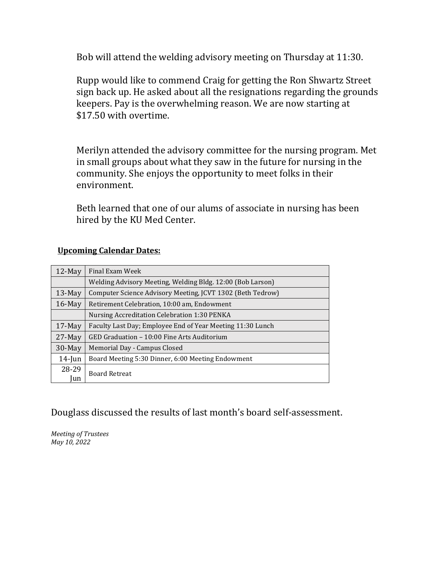Bob will attend the welding advisory meeting on Thursday at 11:30.

Rupp would like to commend Craig for getting the Ron Shwartz Street sign back up. He asked about all the resignations regarding the grounds keepers. Pay is the overwhelming reason. We are now starting at \$17.50 with overtime.

Merilyn attended the advisory committee for the nursing program. Met in small groups about what they saw in the future for nursing in the community. She enjoys the opportunity to meet folks in their environment.

Beth learned that one of our alums of associate in nursing has been hired by the KU Med Center.

| $12$ -May | Final Exam Week                                            |
|-----------|------------------------------------------------------------|
|           | Welding Advisory Meeting, Welding Bldg. 12:00 (Bob Larson) |
| $13$ -May | Computer Science Advisory Meeting, JCVT 1302 (Beth Tedrow) |
| $16$ -May | Retirement Celebration, 10:00 am, Endowment                |
|           | Nursing Accreditation Celebration 1:30 PENKA               |
| $17$ -May | Faculty Last Day; Employee End of Year Meeting 11:30 Lunch |
| $27-May$  | GED Graduation - 10:00 Fine Arts Auditorium                |
| 30-May    | Memorial Day - Campus Closed                               |
| $14$ -Jun | Board Meeting 5:30 Dinner, 6:00 Meeting Endowment          |
| 28-29     | <b>Board Retreat</b>                                       |
| lun       |                                                            |

#### **Upcoming Calendar Dates:**

Douglass discussed the results of last month's board self-assessment.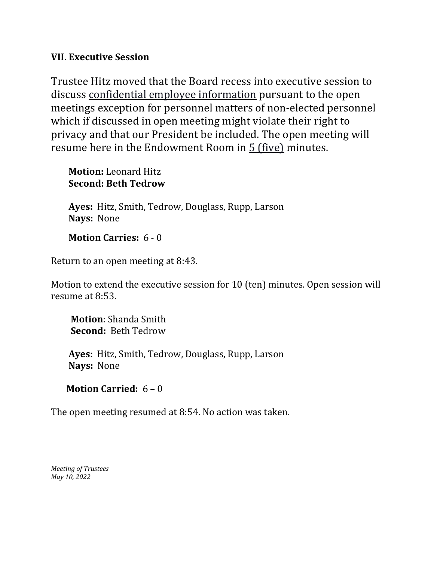#### **VII. Executive Session**

Trustee Hitz moved that the Board recess into executive session to discuss confidential employee information pursuant to the open meetings exception for personnel matters of non-elected personnel which if discussed in open meeting might violate their right to privacy and that our President be included. The open meeting will resume here in the Endowment Room in 5 (five) minutes.

 **Motion:** Leonard Hitz **Second: Beth Tedrow** 

 **Ayes:** Hitz, Smith, Tedrow, Douglass, Rupp, Larson **Nays:** None

#### **Motion Carries:** 6 - 0

Return to an open meeting at 8:43.

Motion to extend the executive session for 10 (ten) minutes. Open session will resume at 8:53.

 **Motion**: Shanda Smith **Second:** Beth Tedrow

 **Ayes:** Hitz, Smith, Tedrow, Douglass, Rupp, Larson  **Nays:** None

## **Motion Carried:** 6 – 0

The open meeting resumed at 8:54. No action was taken.